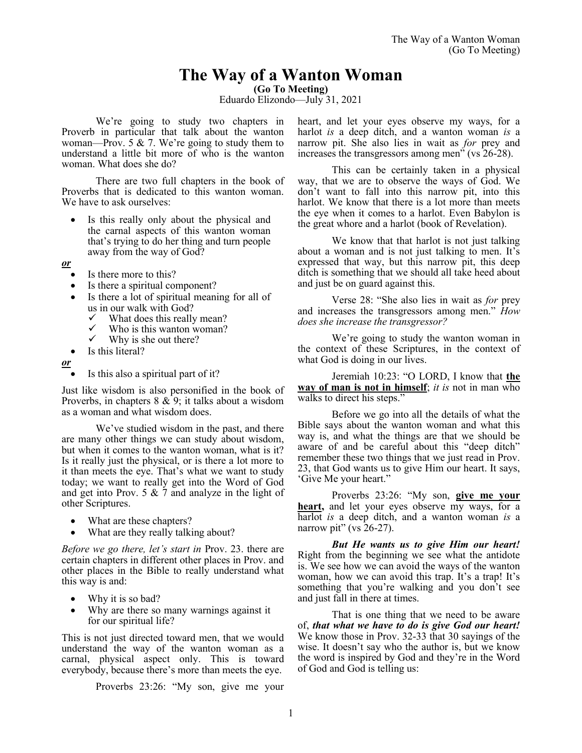# **The Way of a Wanton Woman**

**(Go To Meeting)**

Eduardo Elizondo—July 31, 2021

We're going to study two chapters in Proverb in particular that talk about the wanton woman—Prov. 5  $\&$  7. We're going to study them to understand a little bit more of who is the wanton woman. What does she do?

There are two full chapters in the book of Proverbs that is dedicated to this wanton woman. We have to ask ourselves:

Is this really only about the physical and the carnal aspects of this wanton woman that's trying to do her thing and turn people away from the way of God?

*or*

- Is there more to this?
- Is there a spiritual component?
- Is there a lot of spiritual meaning for all of us in our walk with God?<br> $\checkmark$  What does this really
	- $\checkmark$  What does this really mean?
	- $\checkmark$  Who is this wanton woman?<br> $\checkmark$  Why is she out there?
	- Why is she out there?
- Is this literal?

*or*

• Is this also a spiritual part of it?

Just like wisdom is also personified in the book of Proverbs, in chapters 8 & 9; it talks about a wisdom as a woman and what wisdom does.

We've studied wisdom in the past, and there are many other things we can study about wisdom, but when it comes to the wanton woman, what is it? Is it really just the physical, or is there a lot more to it than meets the eye. That's what we want to study today; we want to really get into the Word of God and get into Prov. 5  $& 7$  and analyze in the light of other Scriptures.

- What are these chapters?
- What are they really talking about?

*Before we go there, let's start in* Prov. 23. there are certain chapters in different other places in Prov. and other places in the Bible to really understand what this way is and:

- Why it is so bad?
- Why are there so many warnings against it for our spiritual life?

This is not just directed toward men, that we would understand the way of the wanton woman as a carnal, physical aspect only. This is toward everybody, because there's more than meets the eye.

Proverbs 23:26: "My son, give me your

heart, and let your eyes observe my ways, for a harlot *is* a deep ditch, and a wanton woman *is* a narrow pit. She also lies in wait as *for* prey and increases the transgressors among men" (vs 26-28).

This can be certainly taken in a physical way, that we are to observe the ways of God. We don't want to fall into this narrow pit, into this harlot. We know that there is a lot more than meets the eye when it comes to a harlot. Even Babylon is the great whore and a harlot (book of Revelation).

We know that that harlot is not just talking about a woman and is not just talking to men. It's expressed that way, but this narrow pit, this deep ditch is something that we should all take heed about and just be on guard against this.

Verse 28: "She also lies in wait as *for* prey and increases the transgressors among men." *How does she increase the transgressor?* 

We're going to study the wanton woman in the context of these Scriptures, in the context of what God is doing in our lives.

Jeremiah 10:23: "O LORD, I know that **the way of man is not in himself**; *it is* not in man who walks to direct his steps."

Before we go into all the details of what the Bible says about the wanton woman and what this way is, and what the things are that we should be aware of and be careful about this "deep ditch" remember these two things that we just read in Prov. 23, that God wants us to give Him our heart. It says, 'Give Me your heart."

Proverbs 23:26: "My son, **give me your heart,** and let your eyes observe my ways, for a harlot *is* a deep ditch, and a wanton woman *is* a narrow pit" (vs 26-27).

*But He wants us to give Him our heart!* Right from the beginning we see what the antidote is. We see how we can avoid the ways of the wanton woman, how we can avoid this trap. It's a trap! It's something that you're walking and you don't see and just fall in there at times.

That is one thing that we need to be aware of, *that what we have to do is give God our heart!* We know those in Prov. 32-33 that 30 sayings of the wise. It doesn't say who the author is, but we know the word is inspired by God and they're in the Word of God and God is telling us: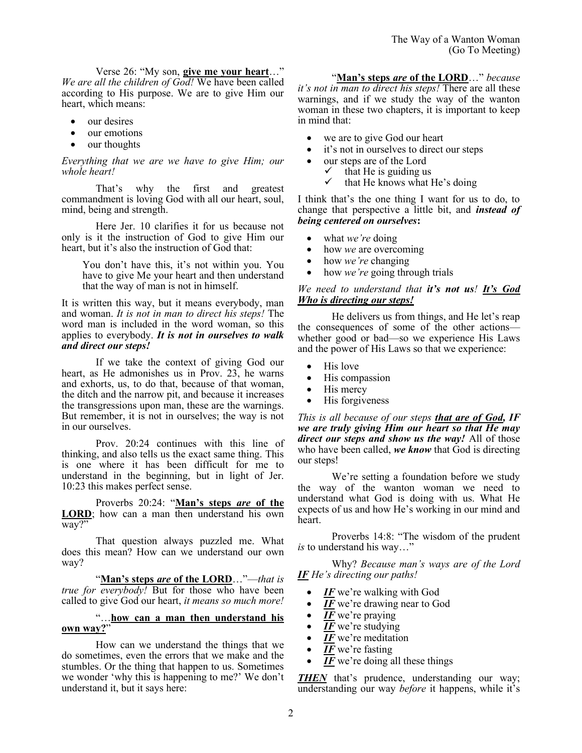Verse 26: "My son, **give me your heart**…" *We are all the children of God!* We have been called according to His purpose. We are to give Him our heart, which means:

- our desires
- our emotions
- our thoughts

*Everything that we are we have to give Him; our whole heart!*

That's why the first and greatest commandment is loving God with all our heart, soul, mind, being and strength.

Here Jer. 10 clarifies it for us because not only is it the instruction of God to give Him our heart, but it's also the instruction of God that:

You don't have this, it's not within you. You have to give Me your heart and then understand that the way of man is not in himself.

It is written this way, but it means everybody, man and woman. *It is not in man to direct his steps!* The word man is included in the word woman, so this applies to everybody. *It is not in ourselves to walk and direct our steps!*

If we take the context of giving God our heart, as He admonishes us in Prov. 23, he warns and exhorts, us, to do that, because of that woman, the ditch and the narrow pit, and because it increases the transgressions upon man, these are the warnings. But remember, it is not in ourselves; the way is not in our ourselves.

Prov. 20:24 continues with this line of thinking, and also tells us the exact same thing. This is one where it has been difficult for me to understand in the beginning, but in light of Jer. 10:23 this makes perfect sense.

Proverbs 20:24: "**Man's steps** *are* **of the LORD**; how can a man then understand his own way?"

That question always puzzled me. What does this mean? How can we understand our own way?

"**Man's steps** *are* **of the LORD**…"—*that is true for everybody!* But for those who have been called to give God our heart, *it means so much more!*

# ...how can a man then understand his **own way?**"

How can we understand the things that we do sometimes, even the errors that we make and the stumbles. Or the thing that happen to us. Sometimes we wonder 'why this is happening to me?' We don't understand it, but it says here:

"**Man's steps** *are* **of the LORD**…" *because it's not in man to direct his steps!* There are all these warnings, and if we study the way of the wanton woman in these two chapters, it is important to keep in mind that:

- we are to give God our heart
- it's not in ourselves to direct our steps
- our steps are of the Lord
	- that He is guiding us
		- $\checkmark$  that He knows what He's doing

I think that's the one thing I want for us to do, to change that perspective a little bit, and *instead of being centered on ourselves***:**

- what *we're* doing
- how *we* are overcoming
- how *we're* changing
- how *we're* going through trials

# *We need to understand that it's not us! It's God Who is directing our steps!*

He delivers us from things, and He let's reap the consequences of some of the other actions whether good or bad—so we experience His Laws and the power of His Laws so that we experience:

- His love
- His compassion
- His mercy
- His forgiveness

*This is all because of our steps that are of God, IF we are truly giving Him our heart so that He may direct our steps and show us the way!* All of those who have been called, *we know* that God is directing our steps!

We're setting a foundation before we study the way of the wanton woman we need to understand what God is doing with us. What He expects of us and how He's working in our mind and heart.

Proverbs 14:8: "The wisdom of the prudent *is* to understand his way…"

Why? *Because man's ways are of the Lord IF He's directing our paths!* 

- IF we're walking with God
- $\overline{IF}$  we're drawing near to God
- IF we're praying
- $\overline{IF}$  we're studying
- *IF* we're meditation
- IF we're fasting
- IF we're doing all these things

*THEN* that's prudence, understanding our way; understanding our way *before* it happens, while it's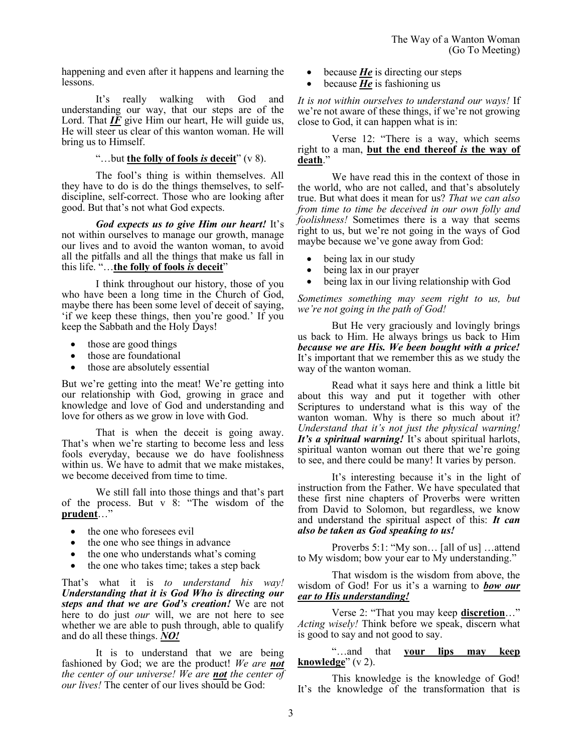happening and even after it happens and learning the lessons.

It's really walking with God and understanding our way, that our steps are of the Lord. That  $IF$  give Him our heart, He will guide us, He will steer us clear of this wanton woman. He will bring us to Himself.

#### "…but **the folly of fools** *is* **deceit**" (v 8).

The fool's thing is within themselves. All they have to do is do the things themselves, to selfdiscipline, self-correct. Those who are looking after good. But that's not what God expects.

*God expects us to give Him our heart!* It's not within ourselves to manage our growth, manage our lives and to avoid the wanton woman, to avoid all the pitfalls and all the things that make us fall in this life. "…**the folly of fools** *is* **deceit**"

I think throughout our history, those of you who have been a long time in the Church of God, maybe there has been some level of deceit of saying, 'if we keep these things, then you're good.' If you keep the Sabbath and the Holy Days!

- those are good things
- those are foundational
- those are absolutely essential

But we're getting into the meat! We're getting into our relationship with God, growing in grace and knowledge and love of God and understanding and love for others as we grow in love with God.

That is when the deceit is going away. That's when we're starting to become less and less fools everyday, because we do have foolishness within us. We have to admit that we make mistakes, we become deceived from time to time.

We still fall into those things and that's part of the process. But v 8: "The wisdom of the **prudent**…"

- the one who foresees evil
- the one who see things in advance
- the one who understands what's coming
- the one who takes time; takes a step back

That's what it is *to understand his way! Understanding that it is God Who is directing our steps and that we are God's creation!* We are not here to do just *our* will, we are not here to see whether we are able to push through, able to qualify and do all these things. *NO!*

It is to understand that we are being fashioned by God; we are the product! *We are not the center of our universe! We are not the center of our lives!* The center of our lives should be God:

- because *He* is directing our steps
- because *He* is fashioning us

*It is not within ourselves to understand our ways!* If we're not aware of these things, if we're not growing close to God, it can happen what is in:

Verse 12: "There is a way, which seems right to a man, **but the end thereof** *is* **the way of death**."

We have read this in the context of those in the world, who are not called, and that's absolutely true. But what does it mean for us? *That we can also from time to time be deceived in our own folly and foolishness!* Sometimes there is a way that seems right to us, but we're not going in the ways of God maybe because we've gone away from God:

- being lax in our study
- being lax in our prayer
- being lax in our living relationship with God

*Sometimes something may seem right to us, but we're not going in the path of God!*

But He very graciously and lovingly brings us back to Him. He always brings us back to Him *because we are His. We been bought with a price!*  It's important that we remember this as we study the way of the wanton woman.

Read what it says here and think a little bit about this way and put it together with other Scriptures to understand what is this way of the wanton woman. Why is there so much about it? *Understand that it's not just the physical warning! It's a spiritual warning!* It's about spiritual harlots, spiritual wanton woman out there that we're going to see, and there could be many! It varies by person.

It's interesting because it's in the light of instruction from the Father. We have speculated that these first nine chapters of Proverbs were written from David to Solomon, but regardless, we know and understand the spiritual aspect of this: *It can also be taken as God speaking to us!*

Proverbs 5:1: "My son… [all of us] …attend to My wisdom; bow your ear to My understanding."

That wisdom is the wisdom from above, the wisdom of God! For us it's a warning to *bow our ear to His understanding!*

Verse 2: "That you may keep **discretion**…" *Acting wisely!* Think before we speak, discern what is good to say and not good to say.

"…and that **your lips may keep knowledge**" (v 2).

This knowledge is the knowledge of God! It's the knowledge of the transformation that is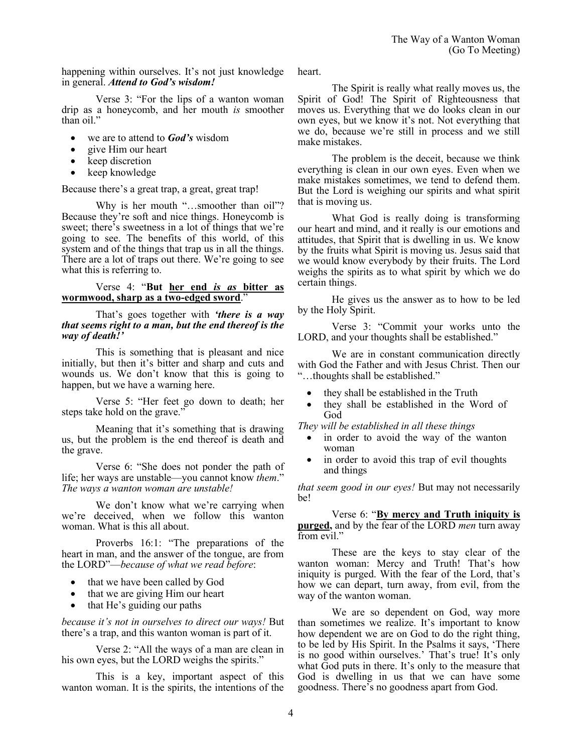happening within ourselves. It's not just knowledge in general. *Attend to God's wisdom!*

Verse 3: "For the lips of a wanton woman drip as a honeycomb, and her mouth *is* smoother than oil."

- we are to attend to *God's* wisdom
- give Him our heart
- keep discretion
- keep knowledge

Because there's a great trap, a great, great trap!

Why is her mouth "...smoother than oil"? Because they're soft and nice things. Honeycomb is sweet; there's sweetness in a lot of things that we're going to see. The benefits of this world, of this system and of the things that trap us in all the things. There are a lot of traps out there. We're going to see what this is referring to.

## Verse 4: "**But her end** *is as* **bitter as wormwood, sharp as a two-edged sword**."

That's goes together with *'there is a way that seems right to a man, but the end thereof is the way of death!'*

This is something that is pleasant and nice initially, but then it's bitter and sharp and cuts and wounds us. We don't know that this is going to happen, but we have a warning here.

Verse 5: "Her feet go down to death; her steps take hold on the grave."

Meaning that it's something that is drawing us, but the problem is the end thereof is death and the grave.

Verse 6: "She does not ponder the path of life; her ways are unstable—you cannot know *them*." *The ways a wanton woman are unstable!*

We don't know what we're carrying when we're deceived, when we follow this wanton woman. What is this all about.

Proverbs 16:1: "The preparations of the heart in man, and the answer of the tongue, are from the LORD"—*because of what we read before*:

- that we have been called by God
- that we are giving Him our heart
- that He's guiding our paths

*because it's not in ourselves to direct our ways!* But there's a trap, and this wanton woman is part of it.

Verse 2: "All the ways of a man are clean in his own eyes, but the LORD weighs the spirits."

This is a key, important aspect of this wanton woman. It is the spirits, the intentions of the heart.

The Spirit is really what really moves us, the Spirit of God! The Spirit of Righteousness that moves us. Everything that we do looks clean in our own eyes, but we know it's not. Not everything that we do, because we're still in process and we still make mistakes.

The problem is the deceit, because we think everything is clean in our own eyes. Even when we make mistakes sometimes, we tend to defend them. But the Lord is weighing our spirits and what spirit that is moving us.

What God is really doing is transforming our heart and mind, and it really is our emotions and attitudes, that Spirit that is dwelling in us. We know by the fruits what Spirit is moving us. Jesus said that we would know everybody by their fruits. The Lord weighs the spirits as to what spirit by which we do certain things.

He gives us the answer as to how to be led by the Holy Spirit.

Verse 3: "Commit your works unto the LORD, and your thoughts shall be established."

We are in constant communication directly with God the Father and with Jesus Christ. Then our "…thoughts shall be established."

- they shall be established in the Truth
- they shall be established in the Word of God

*They will be established in all these things* 

- in order to avoid the way of the wanton woman
- in order to avoid this trap of evil thoughts and things

*that seem good in our eyes!* But may not necessarily be!

Verse 6: "**By mercy and Truth iniquity is purged,** and by the fear of the LORD *men* turn away from evil."

These are the keys to stay clear of the wanton woman: Mercy and Truth! That's how iniquity is purged. With the fear of the Lord, that's how we can depart, turn away, from evil, from the way of the wanton woman.

We are so dependent on God, way more than sometimes we realize. It's important to know how dependent we are on God to do the right thing, to be led by His Spirit. In the Psalms it says, 'There is no good within ourselves.' That's true! It's only what God puts in there. It's only to the measure that God is dwelling in us that we can have some goodness. There's no goodness apart from God.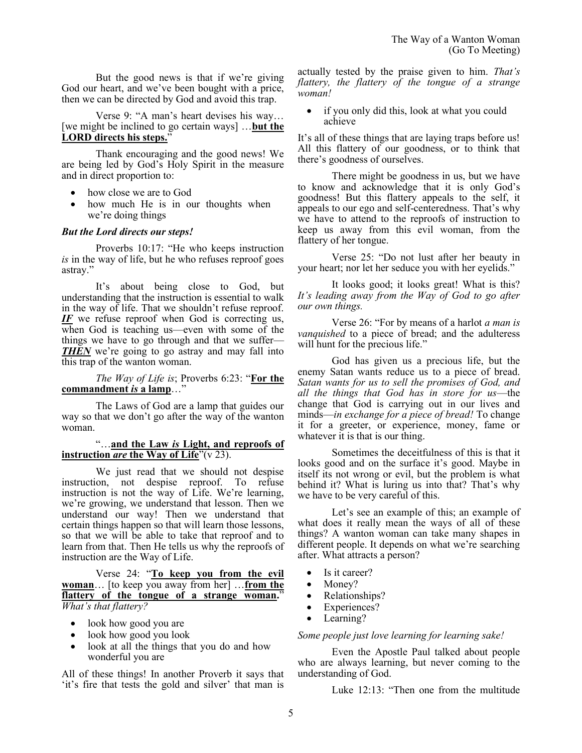But the good news is that if we're giving God our heart, and we've been bought with a price, then we can be directed by God and avoid this trap.

Verse 9: "A man's heart devises his way… [we might be inclined to go certain ways] …**but the LORD directs his steps.**"

Thank encouraging and the good news! We are being led by God's Holy Spirit in the measure and in direct proportion to:

- how close we are to God
- how much He is in our thoughts when we're doing things

## *But the Lord directs our steps!*

Proverbs 10:17: "He who keeps instruction *is* in the way of life, but he who refuses reproof goes astray."

It's about being close to God, but understanding that the instruction is essential to walk in the way of life. That we shouldn't refuse reproof. *IF* we refuse reproof when God is correcting us, when God is teaching us—even with some of the things we have to go through and that we suffer— *THEN* we're going to go astray and may fall into this trap of the wanton woman.

## *The Way of Life is*; Proverbs 6:23: "**For the commandment** *is* **a lamp**…"

The Laws of God are a lamp that guides our way so that we don't go after the way of the wanton woman.

## "…**and the Law** *is* **Light, and reproofs of instruction** *are* **the Way of Life**"(v 23).

We just read that we should not despise instruction, not despise reproof. To refuse instruction is not the way of Life. We're learning, we're growing, we understand that lesson. Then we understand our way! Then we understand that certain things happen so that will learn those lessons, so that we will be able to take that reproof and to learn from that. Then He tells us why the reproofs of instruction are the Way of Life.

Verse 24: "**To keep you from the evil woman**… [to keep you away from her] …**from the flattery of the tongue of a strange woman.**" *What's that flattery?*

- look how good you are
- look how good you look
- look at all the things that you do and how wonderful you are

All of these things! In another Proverb it says that 'it's fire that tests the gold and silver' that man is

actually tested by the praise given to him. *That's flattery, the flattery of the tongue of a strange woman!*

• if you only did this, look at what you could achieve

It's all of these things that are laying traps before us! All this flattery of our goodness, or to think that there's goodness of ourselves.

There might be goodness in us, but we have to know and acknowledge that it is only God's goodness! But this flattery appeals to the self, it appeals to our ego and self-centeredness. That's why we have to attend to the reproofs of instruction to keep us away from this evil woman, from the flattery of her tongue.

Verse 25: "Do not lust after her beauty in your heart; nor let her seduce you with her eyelids."

It looks good; it looks great! What is this? *It's leading away from the Way of God to go after our own things.* 

Verse 26: "For by means of a harlot *a man is vanquished* to a piece of bread; and the adulteress will hunt for the precious life."

God has given us a precious life, but the enemy Satan wants reduce us to a piece of bread. *Satan wants for us to sell the promises of God, and all the things that God has in store for us*—the change that God is carrying out in our lives and minds—*in exchange for a piece of bread!* To change it for a greeter, or experience, money, fame or whatever it is that is our thing.

Sometimes the deceitfulness of this is that it looks good and on the surface it's good. Maybe in itself its not wrong or evil, but the problem is what behind it? What is luring us into that? That's why we have to be very careful of this.

Let's see an example of this; an example of what does it really mean the ways of all of these things? A wanton woman can take many shapes in different people. It depends on what we're searching after. What attracts a person?

- Is it career?
- Money?
- Relationships?
- Experiences?
- Learning?

#### *Some people just love learning for learning sake!*

Even the Apostle Paul talked about people who are always learning, but never coming to the understanding of God.

Luke 12:13: "Then one from the multitude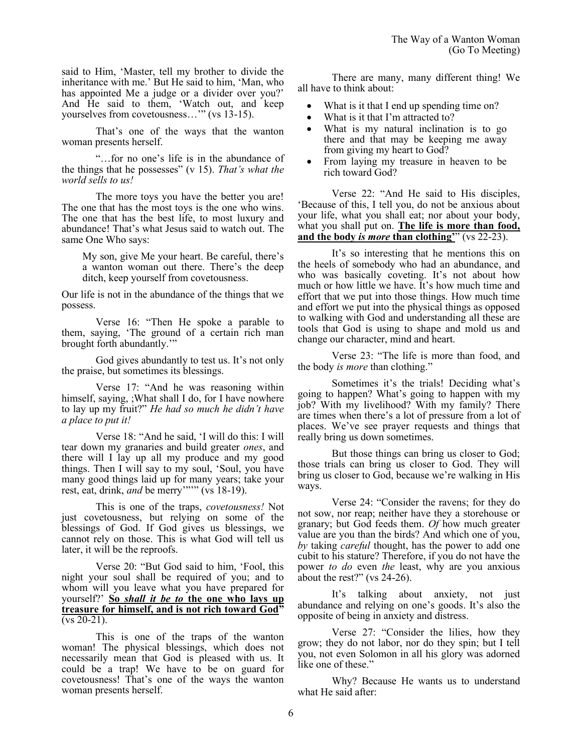said to Him, 'Master, tell my brother to divide the inheritance with me.' But He said to him, 'Man, who has appointed Me a judge or a divider over you?' And He said to them, 'Watch out, and keep yourselves from covetousness…'" (vs 13-15).

That's one of the ways that the wanton woman presents herself.

"…for no one's life is in the abundance of the things that he possesses" (v 15). *That's what the world sells to us!* 

The more toys you have the better you are! The one that has the most toys is the one who wins. The one that has the best life, to most luxury and abundance! That's what Jesus said to watch out. The same One Who says:

My son, give Me your heart. Be careful, there's a wanton woman out there. There's the deep ditch, keep yourself from covetousness.

Our life is not in the abundance of the things that we possess.

Verse 16: "Then He spoke a parable to them, saying, 'The ground of a certain rich man brought forth abundantly.'"

God gives abundantly to test us. It's not only the praise, but sometimes its blessings.

Verse 17: "And he was reasoning within himself, saying, ;What shall I do, for I have nowhere to lay up my fruit?" *He had so much he didn't have a place to put it!*

Verse 18: "And he said, 'I will do this: I will tear down my granaries and build greater *ones*, and there will I lay up all my produce and my good things. Then I will say to my soul, 'Soul, you have many good things laid up for many years; take your rest, eat, drink, *and* be merry""" (vs 18-19).

This is one of the traps, *covetousness!* Not just covetousness, but relying on some of the blessings of God. If God gives us blessings, we cannot rely on those. This is what God will tell us later, it will be the reproofs.

Verse 20: "But God said to him, 'Fool, this night your soul shall be required of you; and to whom will you leave what you have prepared for yourself?' **So** *shall it be to* **the one who lays up treasure for himself, and is not rich toward God"**   $(vs 20-21)$ .

This is one of the traps of the wanton woman! The physical blessings, which does not necessarily mean that God is pleased with us. It could be a trap! We have to be on guard for covetousness! That's one of the ways the wanton woman presents herself.

There are many, many different thing! We all have to think about:

- What is it that I end up spending time on?
- What is it that I'm attracted to?
- What is my natural inclination is to go there and that may be keeping me away from giving my heart to God?
- From laying my treasure in heaven to be rich toward God?

Verse 22: "And He said to His disciples, 'Because of this, I tell you, do not be anxious about your life, what you shall eat; nor about your body, what you shall put on. **The life is more than food, and the body** *is more* **than clothing'**" (vs 22-23).

It's so interesting that he mentions this on the heels of somebody who had an abundance, and who was basically coveting. It's not about how much or how little we have. It's how much time and effort that we put into those things. How much time and effort we put into the physical things as opposed to walking with God and understanding all these are tools that God is using to shape and mold us and change our character, mind and heart.

Verse 23: "The life is more than food, and the body *is more* than clothing."

Sometimes it's the trials! Deciding what's going to happen? What's going to happen with my job? With my livelihood? With my family? There are times when there's a lot of pressure from a lot of places. We've see prayer requests and things that really bring us down sometimes.

But those things can bring us closer to God; those trials can bring us closer to God. They will bring us closer to God, because we're walking in His ways.

Verse 24: "Consider the ravens; for they do not sow, nor reap; neither have they a storehouse or granary; but God feeds them. *Of* how much greater value are you than the birds? And which one of you, *by* taking *careful* thought, has the power to add one cubit to his stature? Therefore, if you do not have the power *to do* even *the* least, why are you anxious about the rest?" (vs 24-26).

It's talking about anxiety, not just abundance and relying on one's goods. It's also the opposite of being in anxiety and distress.

Verse 27: "Consider the lilies, how they grow; they do not labor, nor do they spin; but I tell you, not even Solomon in all his glory was adorned like one of these."

Why? Because He wants us to understand what He said after: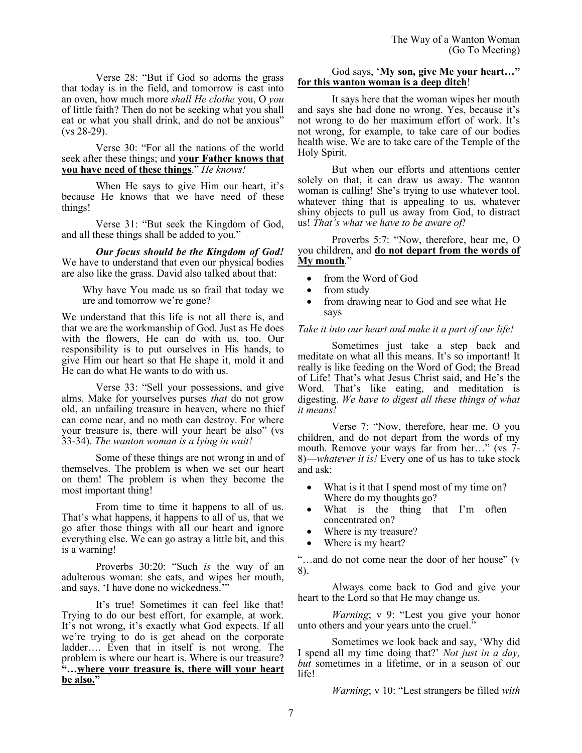Verse 28: "But if God so adorns the grass that today is in the field, and tomorrow is cast into an oven, how much more *shall He clothe* you, O *you* of little faith? Then do not be seeking what you shall eat or what you shall drink, and do not be anxious" (vs 28-29).

Verse 30: "For all the nations of the world seek after these things; and **your Father knows that you have need of these things**." *He knows!*

When He says to give Him our heart, it's because He knows that we have need of these things!

Verse 31: "But seek the Kingdom of God, and all these things shall be added to you."

*Our focus should be the Kingdom of God!* We have to understand that even our physical bodies are also like the grass. David also talked about that:

Why have You made us so frail that today we are and tomorrow we're gone?

We understand that this life is not all there is, and that we are the workmanship of God. Just as He does with the flowers, He can do with us, too. Our responsibility is to put ourselves in His hands, to give Him our heart so that He shape it, mold it and He can do what He wants to do with us.

Verse 33: "Sell your possessions, and give alms. Make for yourselves purses *that* do not grow old, an unfailing treasure in heaven, where no thief can come near, and no moth can destroy. For where your treasure is, there will your heart be also" (vs 33-34). *The wanton woman is a lying in wait!* 

Some of these things are not wrong in and of themselves. The problem is when we set our heart on them! The problem is when they become the most important thing!

From time to time it happens to all of us. That's what happens, it happens to all of us, that we go after those things with all our heart and ignore everything else. We can go astray a little bit, and this is a warning!

Proverbs 30:20: "Such *is* the way of an adulterous woman: she eats, and wipes her mouth, and says, 'I have done no wickedness."

It's true! Sometimes it can feel like that! Trying to do our best effort, for example, at work. It's not wrong, it's exactly what God expects. If all we're trying to do is get ahead on the corporate ladder…. Even that in itself is not wrong. The problem is where our heart is. Where is our treasure? **"…where your treasure is, there will your heart be also."**

# God says, '**My son, give Me your heart…" for this wanton woman is a deep ditch**!

It says here that the woman wipes her mouth and says she had done no wrong. Yes, because it's not wrong to do her maximum effort of work. It's not wrong, for example, to take care of our bodies health wise. We are to take care of the Temple of the Holy Spirit.

But when our efforts and attentions center solely on that, it can draw us away. The wanton woman is calling! She's trying to use whatever tool, whatever thing that is appealing to us, whatever shiny objects to pull us away from God, to distract us! *That's what we have to be aware of!*

Proverbs 5:7: "Now, therefore, hear me, O you children, and **do not depart from the words of My mouth**."

- from the Word of God
- from study
- from drawing near to God and see what He says

# *Take it into our heart and make it a part of our life!*

Sometimes just take a step back and meditate on what all this means. It's so important! It really is like feeding on the Word of God; the Bread of Life! That's what Jesus Christ said, and He's the Word. That's like eating, and meditation is digesting. *We have to digest all these things of what it means!*

Verse 7: "Now, therefore, hear me, O you children, and do not depart from the words of my mouth. Remove your ways far from her…" (vs 7- 8)—*whatever it is!* Every one of us has to take stock and ask:

- What is it that I spend most of my time on? Where do my thoughts go?
- What is the thing that I'm often concentrated on?
- Where is my treasure?
- Where is my heart?

"…and do not come near the door of her house" (v 8).

Always come back to God and give your heart to the Lord so that He may change us.

*Warning*; v 9: "Lest you give your honor unto others and your years unto the cruel."

Sometimes we look back and say, 'Why did I spend all my time doing that?' *Not just in a day, but* sometimes in a lifetime, or in a season of our life!

*Warning*; v 10: "Lest strangers be filled *with*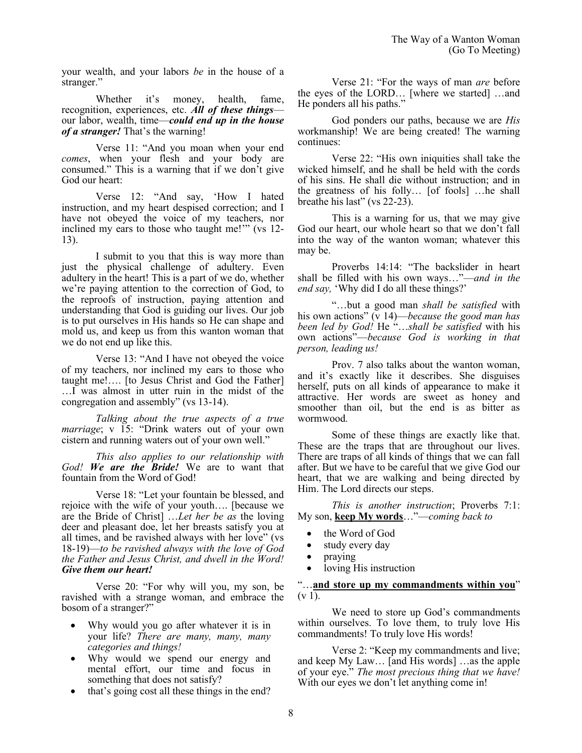your wealth, and your labors *be* in the house of a stranger."

Whether it's money, health, fame, recognition, experiences, etc. *All of these things* our labor, wealth, time—*could end up in the house of a stranger!* That's the warning!

Verse 11: "And you moan when your end *comes*, when your flesh and your body are consumed." This is a warning that if we don't give God our heart:

Verse 12: "And say, 'How I hated instruction, and my heart despised correction; and I have not obeyed the voice of my teachers, nor inclined my ears to those who taught me!'" (vs 12- 13).

I submit to you that this is way more than just the physical challenge of adultery. Even adultery in the heart! This is a part of we do, whether we're paying attention to the correction of God, to the reproofs of instruction, paying attention and understanding that God is guiding our lives. Our job is to put ourselves in His hands so He can shape and mold us, and keep us from this wanton woman that we do not end up like this.

Verse 13: "And I have not obeyed the voice of my teachers, nor inclined my ears to those who taught me!…. [to Jesus Christ and God the Father] …I was almost in utter ruin in the midst of the congregation and assembly" (vs 13-14).

*Talking about the true aspects of a true marriage*; v 15: "Drink waters out of your own cistern and running waters out of your own well."

*This also applies to our relationship with God! We are the Bride!* We are to want that fountain from the Word of God!

Verse 18: "Let your fountain be blessed, and rejoice with the wife of your youth…. [because we are the Bride of Christ] …*Let her be as* the loving deer and pleasant doe, let her breasts satisfy you at all times, and be ravished always with her love" (vs 18-19)—*to be ravished always with the love of God the Father and Jesus Christ, and dwell in the Word! Give them our heart!*

Verse 20: "For why will you, my son, be ravished with a strange woman, and embrace the bosom of a stranger?"

- Why would you go after whatever it is in your life? *There are many, many, many categories and things!*
- Why would we spend our energy and mental effort, our time and focus in something that does not satisfy?
- that's going cost all these things in the end?

Verse 21: "For the ways of man *are* before the eyes of the LORD… [where we started] …and He ponders all his paths."

God ponders our paths, because we are *His* workmanship! We are being created! The warning continues:

Verse 22: "His own iniquities shall take the wicked himself, and he shall be held with the cords of his sins. He shall die without instruction; and in the greatness of his folly… [of fools] …he shall breathe his last" (vs 22-23).

This is a warning for us, that we may give God our heart, our whole heart so that we don't fall into the way of the wanton woman; whatever this may be.

Proverbs 14:14: "The backslider in heart shall be filled with his own ways…"—*and in the end say,* 'Why did I do all these things?'

"…but a good man *shall be satisfied* with his own actions" (v 14)—*because the good man has been led by God!* He "…*shall be satisfied* with his own actions"—*because God is working in that person, leading us!*

Prov. 7 also talks about the wanton woman, and it's exactly like it describes. She disguises herself, puts on all kinds of appearance to make it attractive. Her words are sweet as honey and smoother than oil, but the end is as bitter as wormwood.

Some of these things are exactly like that. These are the traps that are throughout our lives. There are traps of all kinds of things that we can fall after. But we have to be careful that we give God our heart, that we are walking and being directed by Him. The Lord directs our steps.

*This is another instruction*; Proverbs 7:1: My son, **keep My words**…"—*coming back to*

- the Word of God
- study every day
- praying
- loving His instruction

"…**and store up my commandments within you**"  $(v 1)$ .

We need to store up God's commandments within ourselves. To love them, to truly love His commandments! To truly love His words!

Verse 2: "Keep my commandments and live; and keep My Law… [and His words] …as the apple of your eye." *The most precious thing that we have!*  With our eyes we don't let anything come in!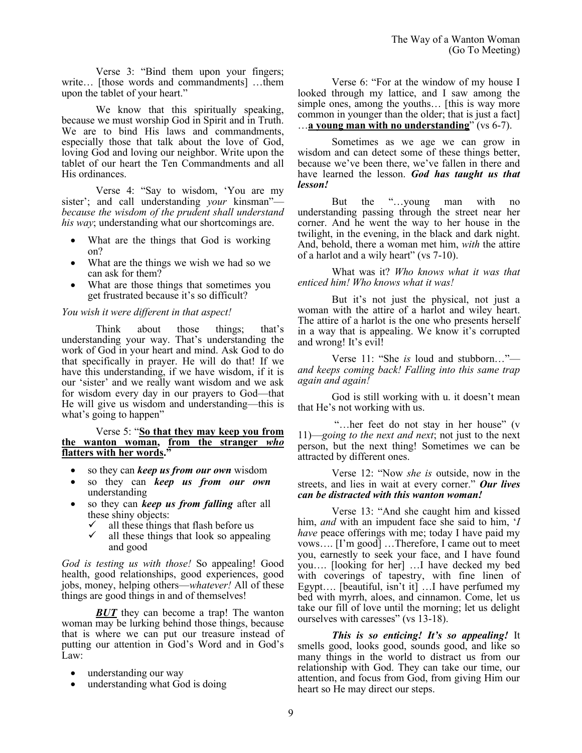Verse 3: "Bind them upon your fingers; write… [those words and commandments] …them upon the tablet of your heart."

We know that this spiritually speaking, because we must worship God in Spirit and in Truth. We are to bind His laws and commandments, especially those that talk about the love of God, loving God and loving our neighbor. Write upon the tablet of our heart the Ten Commandments and all His ordinances.

Verse 4: "Say to wisdom, 'You are my sister'; and call understanding *your* kinsman" *because the wisdom of the prudent shall understand his way*; understanding what our shortcomings are.

- What are the things that God is working on?
- What are the things we wish we had so we can ask for them?
- What are those things that sometimes you get frustrated because it's so difficult?

## *You wish it were different in that aspect!*

Think about those things; that's understanding your way. That's understanding the work of God in your heart and mind. Ask God to do that specifically in prayer. He will do that! If we have this understanding, if we have wisdom, if it is our 'sister' and we really want wisdom and we ask for wisdom every day in our prayers to God—that He will give us wisdom and understanding—this is what's going to happen"

#### Verse 5: "**So that they may keep you from the wanton woman, from the stranger** *who* **flatters with her words."**

- so they can *keep us from our own* wisdom
- so they can *keep us from our own* understanding
- so they can *keep us from falling* after all these shiny objects:
	- $\checkmark$  all these things that flash before us  $\checkmark$  all these things that look so appeal
	- all these things that look so appealing and good

*God is testing us with those!* So appealing! Good health, good relationships, good experiences, good jobs, money, helping others—*whatever!* All of these things are good things in and of themselves!

*BUT* they can become a trap! The wanton woman may be lurking behind those things, because that is where we can put our treasure instead of putting our attention in God's Word and in God's Law:

- understanding our way
- understanding what God is doing

Verse 6: "For at the window of my house I looked through my lattice, and I saw among the simple ones, among the youths… [this is way more common in younger than the older; that is just a fact] …**a young man with no understanding**" (vs 6-7).

Sometimes as we age we can grow in wisdom and can detect some of these things better, because we've been there, we've fallen in there and have learned the lesson. *God has taught us that lesson!*

But the "…young man with no understanding passing through the street near her corner. And he went the way to her house in the twilight, in the evening, in the black and dark night. And, behold, there a woman met him, *with* the attire of a harlot and a wily heart" (vs 7-10).

What was it? *Who knows what it was that enticed him! Who knows what it was!*

But it's not just the physical, not just a woman with the attire of a harlot and wiley heart. The attire of a harlot is the one who presents herself in a way that is appealing. We know it's corrupted and wrong! It's evil!

Verse 11: "She *is* loud and stubborn…" *and keeps coming back! Falling into this same trap again and again!* 

God is still working with u. it doesn't mean that He's not working with us.

"…her feet do not stay in her house" (v 11)—*going to the next and next*; not just to the next person, but the next thing! Sometimes we can be attracted by different ones.

Verse 12: "Now *she is* outside, now in the streets, and lies in wait at every corner." *Our lives can be distracted with this wanton woman!*

Verse 13: "And she caught him and kissed him, *and* with an impudent face she said to him, '*I have* peace offerings with me; today I have paid my vows…. [I'm good] …Therefore, I came out to meet you, earnestly to seek your face, and I have found you…. [looking for her] …I have decked my bed with coverings of tapestry, with fine linen of Egypt…. [beautiful, isn't it] …I have perfumed my bed with myrrh, aloes, and cinnamon. Come, let us take our fill of love until the morning; let us delight ourselves with caresses" (vs 13-18).

*This is so enticing! It's so appealing!* It smells good, looks good, sounds good, and like so many things in the world to distract us from our relationship with God. They can take our time, our attention, and focus from God, from giving Him our heart so He may direct our steps.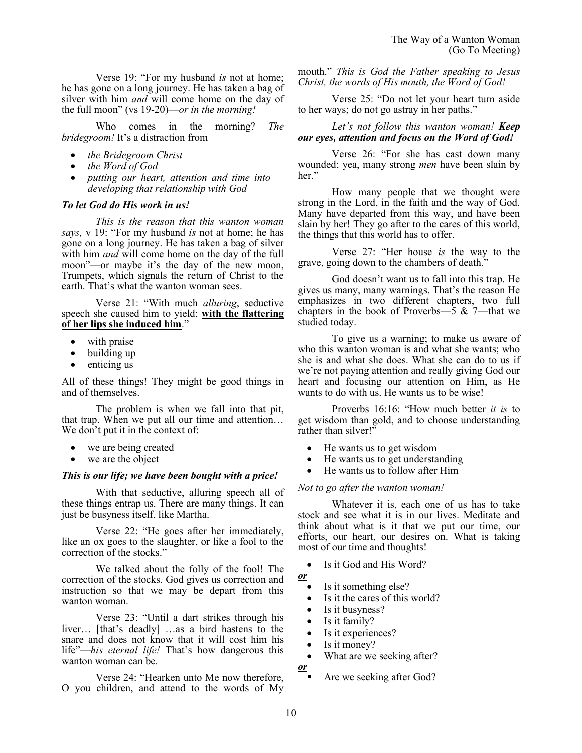Verse 19: "For my husband *is* not at home; he has gone on a long journey. He has taken a bag of silver with him *and* will come home on the day of the full moon" (vs 19-20)—*or in the morning!*

Who comes in the morning? *The bridegroom!* It's a distraction from

- *the Bridegroom Christ*
- *the Word of God*
- *putting our heart, attention and time into developing that relationship with God*

#### *To let God do His work in us!*

*This is the reason that this wanton woman says,* v 19: "For my husband *is* not at home; he has gone on a long journey. He has taken a bag of silver with him *and* will come home on the day of the full moon"—or maybe it's the day of the new moon, Trumpets, which signals the return of Christ to the earth. That's what the wanton woman sees.

Verse 21: "With much *alluring*, seductive speech she caused him to yield; **with the flattering of her lips she induced him**."

- with praise
- building up
- enticing us

All of these things! They might be good things in and of themselves.

The problem is when we fall into that pit, that trap. When we put all our time and attention… We don't put it in the context of:

- we are being created
- we are the object

## *This is our life; we have been bought with a price!*

With that seductive, alluring speech all of these things entrap us. There are many things. It can just be busyness itself, like Martha.

Verse 22: "He goes after her immediately, like an ox goes to the slaughter, or like a fool to the correction of the stocks."

We talked about the folly of the fool! The correction of the stocks. God gives us correction and instruction so that we may be depart from this wanton woman.

Verse 23: "Until a dart strikes through his liver… [that's deadly] …as a bird hastens to the snare and does not know that it will cost him his life"—*his eternal life!* That's how dangerous this wanton woman can be.

Verse 24: "Hearken unto Me now therefore, O you children, and attend to the words of My mouth." *This is God the Father speaking to Jesus Christ, the words of His mouth, the Word of God!*

Verse 25: "Do not let your heart turn aside to her ways; do not go astray in her paths."

## *Let's not follow this wanton woman! Keep our eyes, attention and focus on the Word of God!*

Verse 26: "For she has cast down many wounded; yea, many strong *men* have been slain by her."

How many people that we thought were strong in the Lord, in the faith and the way of God. Many have departed from this way, and have been slain by her! They go after to the cares of this world, the things that this world has to offer.

Verse 27: "Her house *is* the way to the grave, going down to the chambers of death."

God doesn't want us to fall into this trap. He gives us many, many warnings. That's the reason He emphasizes in two different chapters, two full chapters in the book of Proverbs— $\overline{5}$  & 7—that we studied today.

To give us a warning; to make us aware of who this wanton woman is and what she wants; who she is and what she does. What she can do to us if we're not paying attention and really giving God our heart and focusing our attention on Him, as He wants to do with us. He wants us to be wise!

Proverbs 16:16: "How much better *it is* to get wisdom than gold, and to choose understanding rather than silver!"

- He wants us to get wisdom
- He wants us to get understanding
- He wants us to follow after Him

# *Not to go after the wanton woman!*

Whatever it is, each one of us has to take stock and see what it is in our lives. Meditate and think about what is it that we put our time, our efforts, our heart, our desires on. What is taking most of our time and thoughts!

Is it God and His Word?

- *or* 
	- Is it something else?
	- Is it the cares of this world?
	- Is it busyness?
	- Is it family?
	- Is it experiences?
	- Is it money?
	- What are we seeking after?

*or*

Are we seeking after God?